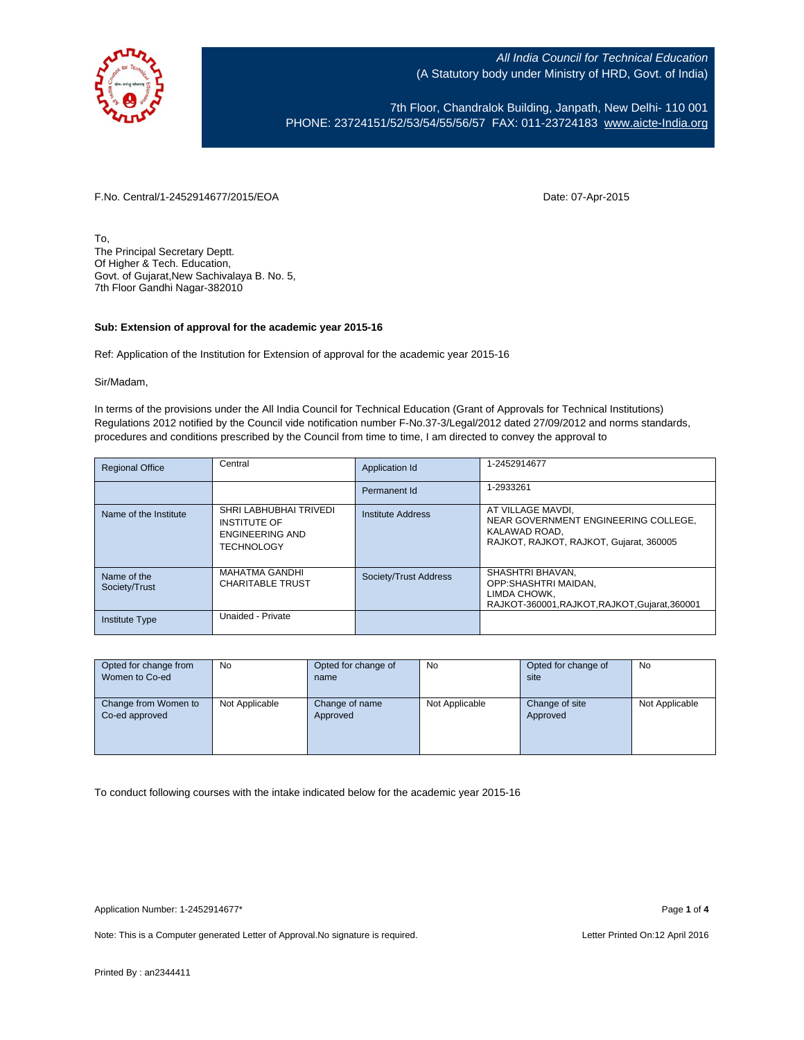

7th Floor, Chandralok Building, Janpath, New Delhi- 110 001 PHONE: 23724151/52/53/54/55/56/57 FAX: 011-23724183 [www.aicte-India.org](http://www.aicte-india.org/)

F.No. Central/1-2452914677/2015/EOA Date: 07-Apr-2015

To, The Principal Secretary Deptt. Of Higher & Tech. Education, Govt. of Gujarat,New Sachivalaya B. No. 5, 7th Floor Gandhi Nagar-382010

### **Sub: Extension of approval for the academic year 2015-16**

Ref: Application of the Institution for Extension of approval for the academic year 2015-16

#### Sir/Madam,

In terms of the provisions under the All India Council for Technical Education (Grant of Approvals for Technical Institutions) Regulations 2012 notified by the Council vide notification number F-No.37-3/Legal/2012 dated 27/09/2012 and norms standards, procedures and conditions prescribed by the Council from time to time, I am directed to convey the approval to

| <b>Regional Office</b>       | Central                                                                               | <b>Application Id</b> | 1-2452914677                                                                                                          |
|------------------------------|---------------------------------------------------------------------------------------|-----------------------|-----------------------------------------------------------------------------------------------------------------------|
|                              |                                                                                       | Permanent Id          | 1-2933261                                                                                                             |
| Name of the Institute        | SHRI LABHUBHAI TRIVEDI<br><b>INSTITUTE OF</b><br>ENGINEERING AND<br><b>TECHNOLOGY</b> | Institute Address     | AT VILLAGE MAVDI.<br>NEAR GOVERNMENT ENGINEERING COLLEGE.<br>KALAWAD ROAD.<br>RAJKOT, RAJKOT, RAJKOT, Gujarat, 360005 |
| Name of the<br>Society/Trust | <b>MAHATMA GANDHI</b><br><b>CHARITABLE TRUST</b>                                      | Society/Trust Address | SHASHTRI BHAVAN.<br>OPP:SHASHTRI MAIDAN.<br>LIMDA CHOWK.<br>RAJKOT-360001, RAJKOT, RAJKOT, Gujarat, 360001            |
| <b>Institute Type</b>        | Unaided - Private                                                                     |                       |                                                                                                                       |

| Opted for change from | No             | Opted for change of | No             | Opted for change of | No             |
|-----------------------|----------------|---------------------|----------------|---------------------|----------------|
| Women to Co-ed        |                | name                |                | site                |                |
|                       |                |                     |                |                     |                |
| Change from Women to  | Not Applicable | Change of name      | Not Applicable | Change of site      | Not Applicable |
| Co-ed approved        |                | Approved            |                | Approved            |                |
|                       |                |                     |                |                     |                |
|                       |                |                     |                |                     |                |
|                       |                |                     |                |                     |                |

To conduct following courses with the intake indicated below for the academic year 2015-16

Note: This is a Computer generated Letter of Approval. No signature is required. Letter Printed On:12 April 2016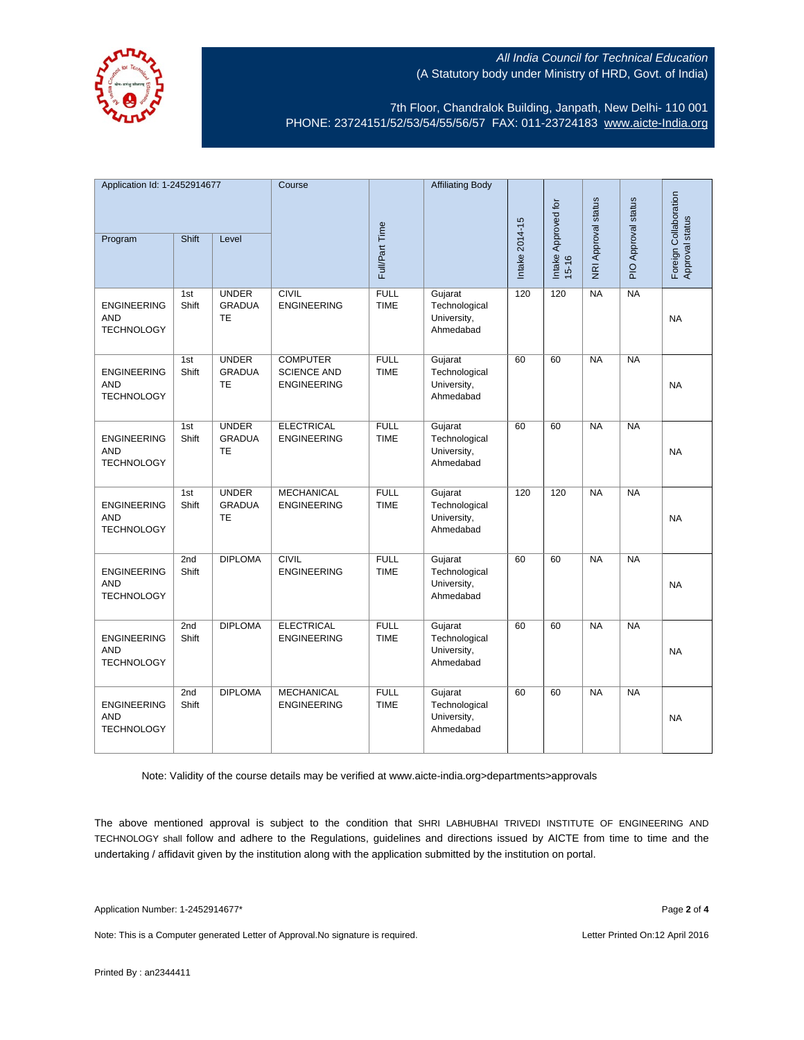

7th Floor, Chandralok Building, Janpath, New Delhi- 110 001 PHONE: 23724151/52/53/54/55/56/57 FAX: 011-23724183 [www.aicte-India.org](http://www.aicte-india.org/)

| Application Id: 1-2452914677                          |              | Course                                     |                                                             | <b>Affiliating Body</b>    |                                                      |                |                                  |                     |                     |                                          |
|-------------------------------------------------------|--------------|--------------------------------------------|-------------------------------------------------------------|----------------------------|------------------------------------------------------|----------------|----------------------------------|---------------------|---------------------|------------------------------------------|
| Program                                               | Shift        | Level                                      |                                                             | Full/Part Time             |                                                      | Intake 2014-15 | Intake Approved for<br>$15 - 16$ | NRI Approval status | PIO Approval status | Foreign Collaboration<br>Approval status |
| <b>ENGINEERING</b><br><b>AND</b><br><b>TECHNOLOGY</b> | 1st<br>Shift | <b>UNDER</b><br><b>GRADUA</b><br><b>TE</b> | <b>CIVIL</b><br><b>ENGINEERING</b>                          | <b>FULL</b><br><b>TIME</b> | Gujarat<br>Technological<br>University,<br>Ahmedabad | 120            | 120                              | <b>NA</b>           | <b>NA</b>           | <b>NA</b>                                |
| <b>ENGINEERING</b><br><b>AND</b><br><b>TECHNOLOGY</b> | 1st<br>Shift | <b>UNDER</b><br><b>GRADUA</b><br><b>TE</b> | <b>COMPUTER</b><br><b>SCIENCE AND</b><br><b>ENGINEERING</b> | <b>FULL</b><br><b>TIME</b> | Gujarat<br>Technological<br>University,<br>Ahmedabad | 60             | 60                               | <b>NA</b>           | NA                  | <b>NA</b>                                |
| <b>ENGINEERING</b><br><b>AND</b><br><b>TECHNOLOGY</b> | 1st<br>Shift | <b>UNDER</b><br><b>GRADUA</b><br>TE        | <b>ELECTRICAL</b><br><b>ENGINEERING</b>                     | <b>FULL</b><br><b>TIME</b> | Gujarat<br>Technological<br>University,<br>Ahmedabad | 60             | 60                               | <b>NA</b>           | <b>NA</b>           | <b>NA</b>                                |
| <b>ENGINEERING</b><br><b>AND</b><br><b>TECHNOLOGY</b> | 1st<br>Shift | <b>UNDER</b><br><b>GRADUA</b><br>TE        | <b>MECHANICAL</b><br><b>ENGINEERING</b>                     | <b>FULL</b><br><b>TIME</b> | Gujarat<br>Technological<br>University,<br>Ahmedabad | 120            | 120                              | <b>NA</b>           | <b>NA</b>           | <b>NA</b>                                |
| <b>ENGINEERING</b><br><b>AND</b><br><b>TECHNOLOGY</b> | 2nd<br>Shift | <b>DIPLOMA</b>                             | <b>CIVIL</b><br><b>ENGINEERING</b>                          | <b>FULL</b><br><b>TIME</b> | Gujarat<br>Technological<br>University,<br>Ahmedabad | 60             | 60                               | <b>NA</b>           | <b>NA</b>           | <b>NA</b>                                |
| <b>ENGINEERING</b><br><b>AND</b><br><b>TECHNOLOGY</b> | 2nd<br>Shift | <b>DIPLOMA</b>                             | <b>ELECTRICAL</b><br><b>ENGINEERING</b>                     | <b>FULL</b><br><b>TIME</b> | Gujarat<br>Technological<br>University,<br>Ahmedabad | 60             | 60                               | NA                  | NA                  | <b>NA</b>                                |
| <b>ENGINEERING</b><br><b>AND</b><br><b>TECHNOLOGY</b> | 2nd<br>Shift | <b>DIPLOMA</b>                             | <b>MECHANICAL</b><br><b>ENGINEERING</b>                     | <b>FULL</b><br><b>TIME</b> | Gujarat<br>Technological<br>University,<br>Ahmedabad | 60             | 60                               | <b>NA</b>           | <b>NA</b>           | <b>NA</b>                                |

Note: Validity of the course details may be verified at www.aicte-india.org>departments>approvals

The above mentioned approval is subject to the condition that SHRI LABHUBHAI TRIVEDI INSTITUTE OF ENGINEERING AND TECHNOLOGY shall follow and adhere to the Regulations, guidelines and directions issued by AICTE from time to time and the undertaking / affidavit given by the institution along with the application submitted by the institution on portal.

Note: This is a Computer generated Letter of Approval. No signature is required. Letter Printed On:12 April 2016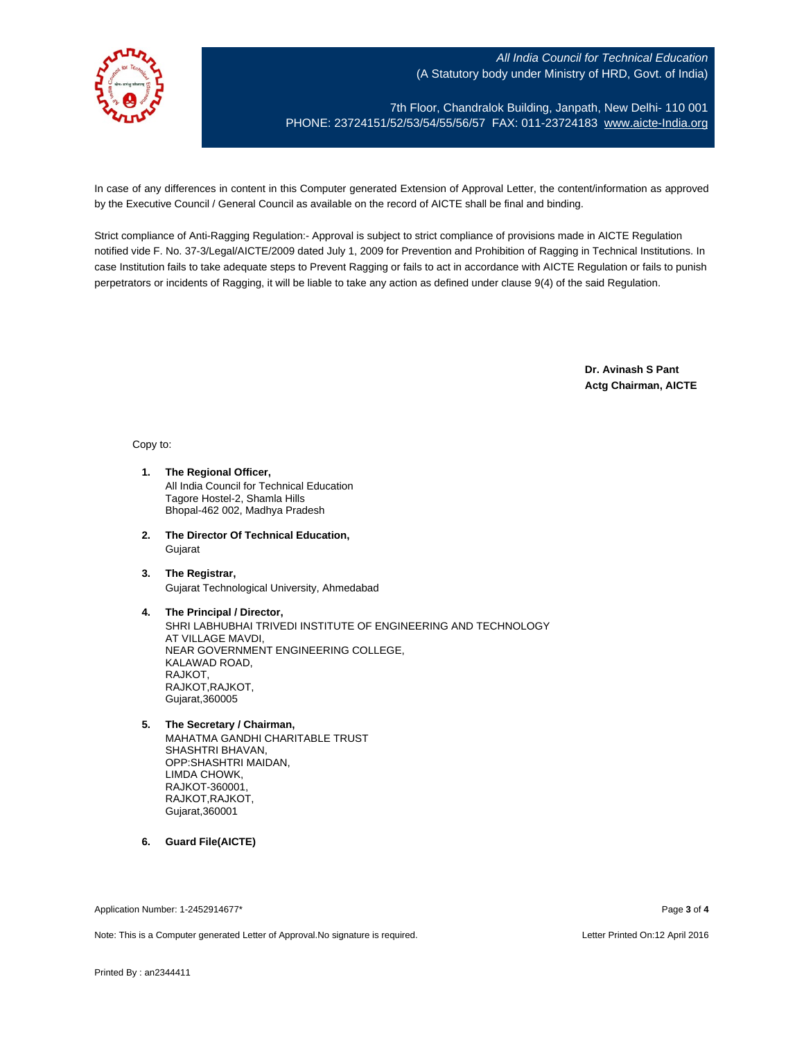

7th Floor, Chandralok Building, Janpath, New Delhi- 110 001 PHONE: 23724151/52/53/54/55/56/57 FAX: 011-23724183 [www.aicte-India.org](http://www.aicte-india.org/)

In case of any differences in content in this Computer generated Extension of Approval Letter, the content/information as approved by the Executive Council / General Council as available on the record of AICTE shall be final and binding.

Strict compliance of Anti-Ragging Regulation:- Approval is subject to strict compliance of provisions made in AICTE Regulation notified vide F. No. 37-3/Legal/AICTE/2009 dated July 1, 2009 for Prevention and Prohibition of Ragging in Technical Institutions. In case Institution fails to take adequate steps to Prevent Ragging or fails to act in accordance with AICTE Regulation or fails to punish perpetrators or incidents of Ragging, it will be liable to take any action as defined under clause 9(4) of the said Regulation.

> **Dr. Avinash S Pant Actg Chairman, AICTE**

#### Copy to:

- **1. The Regional Officer,** All India Council for Technical Education Tagore Hostel-2, Shamla Hills Bhopal-462 002, Madhya Pradesh
- **2. The Director Of Technical Education,** Gujarat
- **3. The Registrar,** Gujarat Technological University, Ahmedabad

#### **4. The Principal / Director,**

SHRI LABHUBHAI TRIVEDI INSTITUTE OF ENGINEERING AND TECHNOLOGY AT VILLAGE MAVDI, NEAR GOVERNMENT ENGINEERING COLLEGE, KALAWAD ROAD, RAJKOT, RAJKOT,RAJKOT, Gujarat,360005

## **5. The Secretary / Chairman,**

- MAHATMA GANDHI CHARITABLE TRUST SHASHTRI BHAVAN, OPP:SHASHTRI MAIDAN, LIMDA CHOWK, RAJKOT-360001, RAJKOT,RAJKOT, Gujarat,360001
- **6. Guard File(AICTE)**

Application Number: 1-2452914677\* Page **3** of **4**

Note: This is a Computer generated Letter of Approval.No signature is required. Letter According the state of the Letter Printed On:12 April 2016